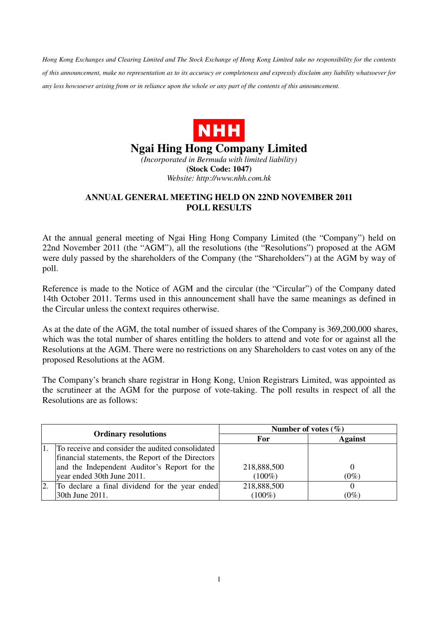*Hong Kong Exchanges and Clearing Limited and The Stock Exchange of Hong Kong Limited take no responsibility for the contents of this announcement, make no representation as to its accuracy or completeness and expressly disclaim any liability whatsoever for any loss howsoever arising from or in reliance upon the whole or any part of the contents of this announcement.* 



## **Ngai Hing Hong Company Limited**

*(Incorporated in Bermuda with limited liability)*  **(Stock Code: 1047)**  *Website: http://www.nhh.com.hk* 

## **ANNUAL GENERAL MEETING HELD ON 22ND NOVEMBER 2011 POLL RESULTS**

At the annual general meeting of Ngai Hing Hong Company Limited (the "Company") held on 22nd November 2011 (the "AGM"), all the resolutions (the "Resolutions") proposed at the AGM were duly passed by the shareholders of the Company (the "Shareholders") at the AGM by way of poll.

Reference is made to the Notice of AGM and the circular (the "Circular") of the Company dated 14th October 2011. Terms used in this announcement shall have the same meanings as defined in the Circular unless the context requires otherwise.

As at the date of the AGM, the total number of issued shares of the Company is 369,200,000 shares, which was the total number of shares entitling the holders to attend and vote for or against all the Resolutions at the AGM. There were no restrictions on any Shareholders to cast votes on any of the proposed Resolutions at the AGM.

The Company's branch share registrar in Hong Kong, Union Registrars Limited, was appointed as the scrutineer at the AGM for the purpose of vote-taking. The poll results in respect of all the Resolutions are as follows:

| <b>Ordinary resolutions</b> |                                                   | Number of votes $(\% )$ |                |
|-----------------------------|---------------------------------------------------|-------------------------|----------------|
|                             |                                                   | For                     | <b>Against</b> |
|                             | To receive and consider the audited consolidated  |                         |                |
|                             | financial statements, the Report of the Directors |                         |                |
|                             | and the Independent Auditor's Report for the      | 218,888,500             |                |
|                             | year ended 30th June 2011.                        | $(100\%)$               | $(0\%)$        |
|                             | To declare a final dividend for the year ended    | 218,888,500             |                |
|                             | 30th June 2011.                                   | $(100\%)$               | $(0\%)$        |